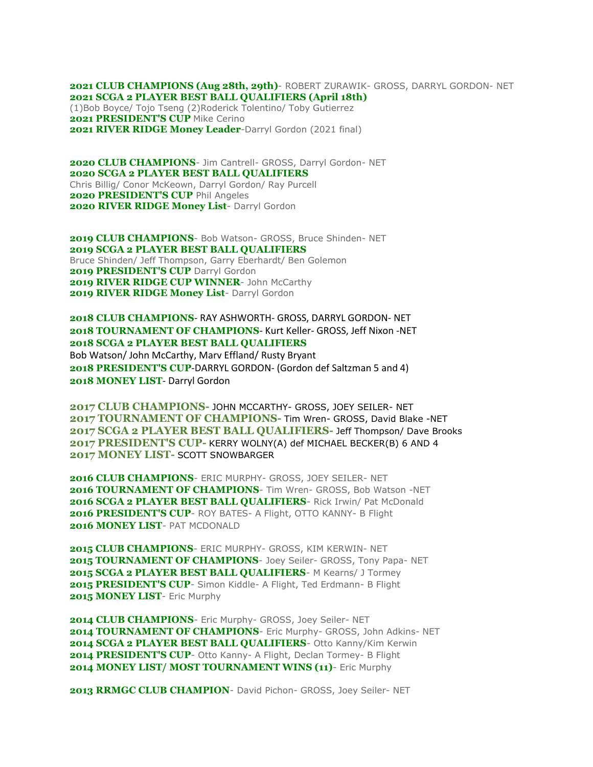**2021 CLUB CHAMPIONS (Aug 28th, 29th)**- ROBERT ZURAWIK- GROSS, DARRYL GORDON- NET **2021 SCGA 2 PLAYER BEST BALL QUALIFIERS (April 18th)** (1)Bob Boyce/ Tojo Tseng (2)Roderick Tolentino/ Toby Gutierrez 2021 PRESIDENT'S CUP Mike Cerino

**2021 RIVER RIDGE Money Leader-Darryl Gordon (2021 final)** 

 **CLUB CHAMPIONS**- Jim Cantrell- GROSS, Darryl Gordon- NET **SCGA 2 PLAYER BEST BALL QUALIFIERS** Chris Billig/ Conor McKeown, Darryl Gordon/ Ray Purcell **PRESIDENT'S CUP** Phil Angeles **RIVER RIDGE Money List**- Darryl Gordon

2019 CLUB CHAMPIONS- Bob Watson- GROSS, Bruce Shinden- NET **2019 SCGA 2 PLAYER BEST BALL QUALIFIERS** Bruce Shinden/ Jeff Thompson, Garry Eberhardt/ Ben Golemon **2019 PRESIDENT'S CUP** Darryl Gordon 2019 RIVER RIDGE CUP WINNER- John McCarthy 2019 RIVER RIDGE Money List- Darryl Gordon

**2018 CLUB CHAMPIONS**- RAY ASHWORTH- GROSS, DARRYL GORDON- NET **2018 TOURNAMENT OF CHAMPIONS**- Kurt Keller- GROSS, Jeff Nixon -NET **2018 SCGA 2 PLAYER BEST BALL QUALIFIERS** Bob Watson/ John McCarthy, Marv Effland/ Rusty Bryant **2018 PRESIDENT'S CUP**-DARRYL GORDON- (Gordon def Saltzman 5 and 4) **2018 MONEY LIST**- Darryl Gordon

**2017 CLUB CHAMPIONS-** JOHN MCCARTHY- GROSS, JOEY SEILER- NET **2017 TOURNAMENT OF CHAMPIONS-** Tim Wren- GROSS, David Blake -NET **2017 SCGA 2 PLAYER BEST BALL QUALIFIERS-** Jeff Thompson/ Dave Brooks **2017 PRESIDENT'S CUP-** KERRY WOLNY(A) def MICHAEL BECKER(B) 6 AND 4 **2017 MONEY LIST-** SCOTT SNOWBARGER

**2016 CLUB CHAMPIONS**- ERIC MURPHY- GROSS, JOEY SEILER- NET **2016 TOURNAMENT OF CHAMPIONS**- Tim Wren- GROSS, Bob Watson -NET **2016 SCGA 2 PLAYER BEST BALL QUALIFIERS**- Rick Irwin/ Pat McDonald **2016 PRESIDENT'S CUP**- ROY BATES- A Flight, OTTO KANNY- B Flight **2016 MONEY LIST**- PAT MCDONALD

**2015 CLUB CHAMPIONS**- ERIC MURPHY- GROSS, KIM KERWIN- NET 2015 TOURNAMENT OF CHAMPIONS- Joey Seiler- GROSS, Tony Papa- NET **2015 SCGA 2 PLAYER BEST BALL QUALIFIERS**- M Kearns/ J Tormey **2015 PRESIDENT'S CUP**- Simon Kiddle- A Flight, Ted Erdmann- B Flight 2015 MONEY LIST- Eric Murphy

2014 CLUB CHAMPIONS- Eric Murphy- GROSS, Joey Seiler- NET 2014 TOURNAMENT OF CHAMPIONS- Eric Murphy- GROSS, John Adkins- NET 2014 SCGA 2 PLAYER BEST BALL QUALIFIERS- Otto Kanny/Kim Kerwin 2014 PRESIDENT'S CUP- Otto Kanny- A Flight, Declan Tormey- B Flight **2014 MONEY LIST/ MOST TOURNAMENT WINS (11)**- Eric Murphy

2013 RRMGC CLUB CHAMPION- David Pichon- GROSS, Joey Seiler- NET